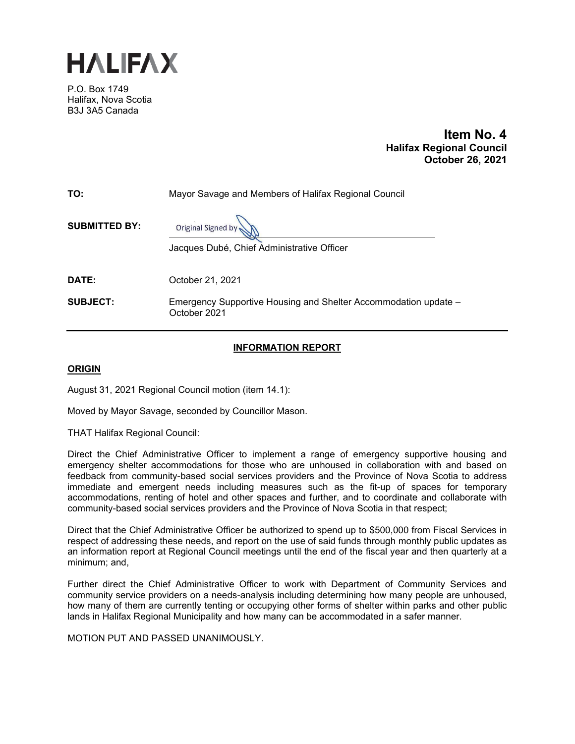

P.O. Box 1749 Halifax, Nova Scotia B3J 3A5 Canada

# **Item No. 4 Halifax Regional Council October 26, 2021**

| TO:                  | Mayor Savage and Members of Halifax Regional Council                            |
|----------------------|---------------------------------------------------------------------------------|
| <b>SUBMITTED BY:</b> | Original Signed by                                                              |
|                      | Jacques Dubé, Chief Administrative Officer                                      |
|                      |                                                                                 |
| DATE:                | October 21, 2021                                                                |
| <b>SUBJECT:</b>      | Emergency Supportive Housing and Shelter Accommodation update -<br>October 2021 |

### **INFORMATION REPORT**

# **ORIGIN**

August 31, 2021 Regional Council motion (item 14.1):

Moved by Mayor Savage, seconded by Councillor Mason.

THAT Halifax Regional Council:

Direct the Chief Administrative Officer to implement a range of emergency supportive housing and emergency shelter accommodations for those who are unhoused in collaboration with and based on feedback from community-based social services providers and the Province of Nova Scotia to address immediate and emergent needs including measures such as the fit-up of spaces for temporary accommodations, renting of hotel and other spaces and further, and to coordinate and collaborate with community-based social services providers and the Province of Nova Scotia in that respect;

Direct that the Chief Administrative Officer be authorized to spend up to \$500,000 from Fiscal Services in respect of addressing these needs, and report on the use of said funds through monthly public updates as an information report at Regional Council meetings until the end of the fiscal year and then quarterly at a minimum; and,

Further direct the Chief Administrative Officer to work with Department of Community Services and community service providers on a needs-analysis including determining how many people are unhoused, how many of them are currently tenting or occupying other forms of shelter within parks and other public lands in Halifax Regional Municipality and how many can be accommodated in a safer manner.

MOTION PUT AND PASSED UNANIMOUSLY.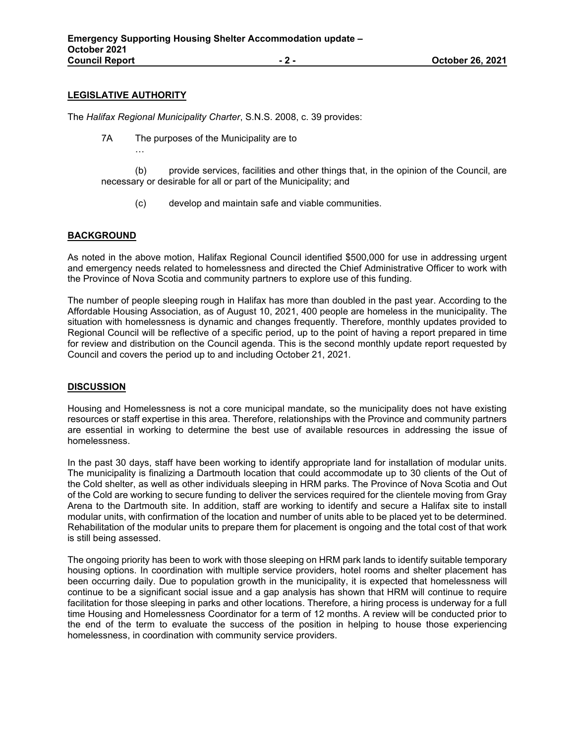### **LEGISLATIVE AUTHORITY**

…

The *Halifax Regional Municipality Charter*, S.N.S. 2008, c. 39 provides:

7A The purposes of the Municipality are to

(b) provide services, facilities and other things that, in the opinion of the Council, are necessary or desirable for all or part of the Municipality; and

(c) develop and maintain safe and viable communities.

### **BACKGROUND**

As noted in the above motion, Halifax Regional Council identified \$500,000 for use in addressing urgent and emergency needs related to homelessness and directed the Chief Administrative Officer to work with the Province of Nova Scotia and community partners to explore use of this funding.

The number of people sleeping rough in Halifax has more than doubled in the past year. According to the Affordable Housing Association, as of August 10, 2021, 400 people are homeless in the municipality. The situation with homelessness is dynamic and changes frequently. Therefore, monthly updates provided to Regional Council will be reflective of a specific period, up to the point of having a report prepared in time for review and distribution on the Council agenda. This is the second monthly update report requested by Council and covers the period up to and including October 21, 2021.

#### **DISCUSSION**

Housing and Homelessness is not a core municipal mandate, so the municipality does not have existing resources or staff expertise in this area. Therefore, relationships with the Province and community partners are essential in working to determine the best use of available resources in addressing the issue of homelessness.

In the past 30 days, staff have been working to identify appropriate land for installation of modular units. The municipality is finalizing a Dartmouth location that could accommodate up to 30 clients of the Out of the Cold shelter, as well as other individuals sleeping in HRM parks. The Province of Nova Scotia and Out of the Cold are working to secure funding to deliver the services required for the clientele moving from Gray Arena to the Dartmouth site. In addition, staff are working to identify and secure a Halifax site to install modular units, with confirmation of the location and number of units able to be placed yet to be determined. Rehabilitation of the modular units to prepare them for placement is ongoing and the total cost of that work is still being assessed.

The ongoing priority has been to work with those sleeping on HRM park lands to identify suitable temporary housing options. In coordination with multiple service providers, hotel rooms and shelter placement has been occurring daily. Due to population growth in the municipality, it is expected that homelessness will continue to be a significant social issue and a gap analysis has shown that HRM will continue to require facilitation for those sleeping in parks and other locations. Therefore, a hiring process is underway for a full time Housing and Homelessness Coordinator for a term of 12 months. A review will be conducted prior to the end of the term to evaluate the success of the position in helping to house those experiencing homelessness, in coordination with community service providers.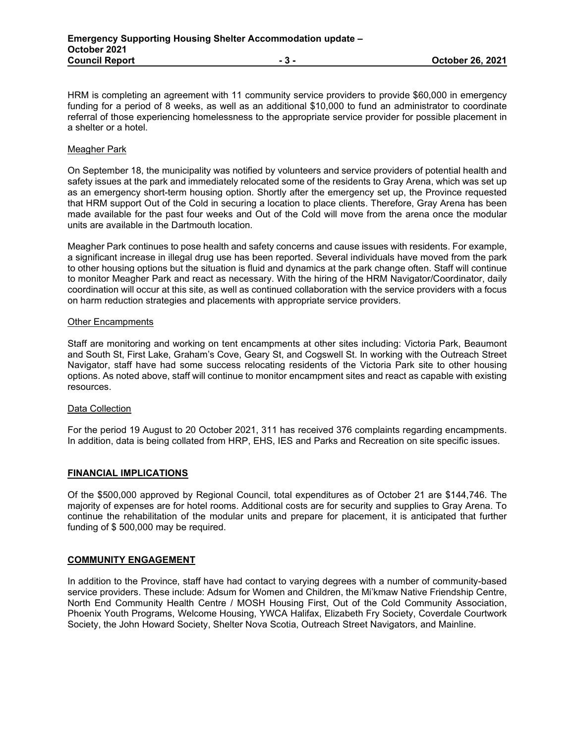HRM is completing an agreement with 11 community service providers to provide \$60,000 in emergency funding for a period of 8 weeks, as well as an additional \$10,000 to fund an administrator to coordinate referral of those experiencing homelessness to the appropriate service provider for possible placement in a shelter or a hotel.

#### Meagher Park

On September 18, the municipality was notified by volunteers and service providers of potential health and safety issues at the park and immediately relocated some of the residents to Gray Arena, which was set up as an emergency short-term housing option. Shortly after the emergency set up, the Province requested that HRM support Out of the Cold in securing a location to place clients. Therefore, Gray Arena has been made available for the past four weeks and Out of the Cold will move from the arena once the modular units are available in the Dartmouth location.

Meagher Park continues to pose health and safety concerns and cause issues with residents. For example, a significant increase in illegal drug use has been reported. Several individuals have moved from the park to other housing options but the situation is fluid and dynamics at the park change often. Staff will continue to monitor Meagher Park and react as necessary. With the hiring of the HRM Navigator/Coordinator, daily coordination will occur at this site, as well as continued collaboration with the service providers with a focus on harm reduction strategies and placements with appropriate service providers.

#### Other Encampments

Staff are monitoring and working on tent encampments at other sites including: Victoria Park, Beaumont and South St, First Lake, Graham's Cove, Geary St, and Cogswell St. In working with the Outreach Street Navigator, staff have had some success relocating residents of the Victoria Park site to other housing options. As noted above, staff will continue to monitor encampment sites and react as capable with existing resources.

#### Data Collection

For the period 19 August to 20 October 2021, 311 has received 376 complaints regarding encampments. In addition, data is being collated from HRP, EHS, IES and Parks and Recreation on site specific issues.

#### **FINANCIAL IMPLICATIONS**

Of the \$500,000 approved by Regional Council, total expenditures as of October 21 are \$144,746. The majority of expenses are for hotel rooms. Additional costs are for security and supplies to Gray Arena. To continue the rehabilitation of the modular units and prepare for placement, it is anticipated that further funding of \$ 500,000 may be required.

#### **COMMUNITY ENGAGEMENT**

In addition to the Province, staff have had contact to varying degrees with a number of community-based service providers. These include: Adsum for Women and Children, the Mi'kmaw Native Friendship Centre, North End Community Health Centre / MOSH Housing First, Out of the Cold Community Association, Phoenix Youth Programs, Welcome Housing, YWCA Halifax, Elizabeth Fry Society, Coverdale Courtwork Society, the John Howard Society, Shelter Nova Scotia, Outreach Street Navigators, and Mainline.